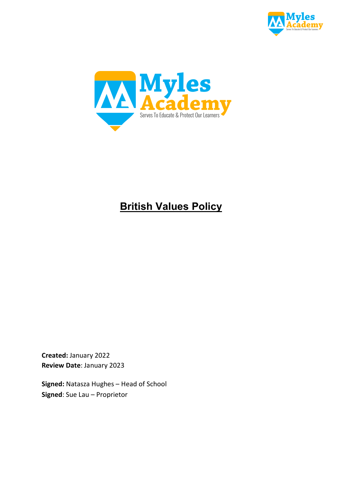



# **British Values Policy**

**Created:** January 2022 **Review Date**: January 2023

**Signed:** Natasza Hughes – Head of School **Signed**: Sue Lau – Proprietor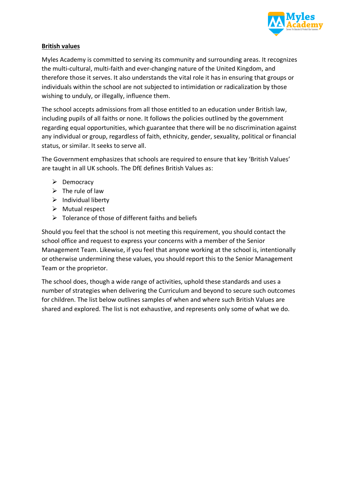

# **British values**

Myles Academy is committed to serving its community and surrounding areas. It recognizes the multi-cultural, multi-faith and ever-changing nature of the United Kingdom, and therefore those it serves. It also understands the vital role it has in ensuring that groups or individuals within the school are not subjected to intimidation or radicalization by those wishing to unduly, or illegally, influence them.

The school accepts admissions from all those entitled to an education under British law, including pupils of all faiths or none. It follows the policies outlined by the government regarding equal opportunities, which guarantee that there will be no discrimination against any individual or group, regardless of faith, ethnicity, gender, sexuality, political or financial status, or similar. It seeks to serve all.

The Government emphasizes that schools are required to ensure that key 'British Values' are taught in all UK schools. The DfE defines British Values as:

- $\triangleright$  Democracy
- $\triangleright$  The rule of law
- $\triangleright$  Individual liberty
- $\triangleright$  Mutual respect
- $\triangleright$  Tolerance of those of different faiths and beliefs

Should you feel that the school is not meeting this requirement, you should contact the school office and request to express your concerns with a member of the Senior Management Team. Likewise, if you feel that anyone working at the school is, intentionally or otherwise undermining these values, you should report this to the Senior Management Team or the proprietor.

The school does, though a wide range of activities, uphold these standards and uses a number of strategies when delivering the Curriculum and beyond to secure such outcomes for children. The list below outlines samples of when and where such British Values are shared and explored. The list is not exhaustive, and represents only some of what we do.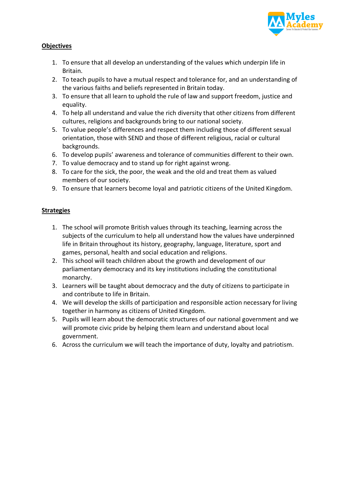

# **Objectives**

- 1. To ensure that all develop an understanding of the values which underpin life in Britain.
- 2. To teach pupils to have a mutual respect and tolerance for, and an understanding of the various faiths and beliefs represented in Britain today.
- 3. To ensure that all learn to uphold the rule of law and support freedom, justice and equality.
- 4. To help all understand and value the rich diversity that other citizens from different cultures, religions and backgrounds bring to our national society.
- 5. To value people's differences and respect them including those of different sexual orientation, those with SEND and those of different religious, racial or cultural backgrounds.
- 6. To develop pupils' awareness and tolerance of communities different to their own.
- 7. To value democracy and to stand up for right against wrong.
- 8. To care for the sick, the poor, the weak and the old and treat them as valued members of our society.
- 9. To ensure that learners become loyal and patriotic citizens of the United Kingdom.

# **Strategies**

- 1. The school will promote British values through its teaching, learning across the subjects of the curriculum to help all understand how the values have underpinned life in Britain throughout its history, geography, language, literature, sport and games, personal, health and social education and religions.
- 2. This school will teach children about the growth and development of our parliamentary democracy and its key institutions including the constitutional monarchy.
- 3. Learners will be taught about democracy and the duty of citizens to participate in and contribute to life in Britain.
- 4. We will develop the skills of participation and responsible action necessary for living together in harmony as citizens of United Kingdom.
- 5. Pupils will learn about the democratic structures of our national government and we will promote civic pride by helping them learn and understand about local government.
- 6. Across the curriculum we will teach the importance of duty, loyalty and patriotism.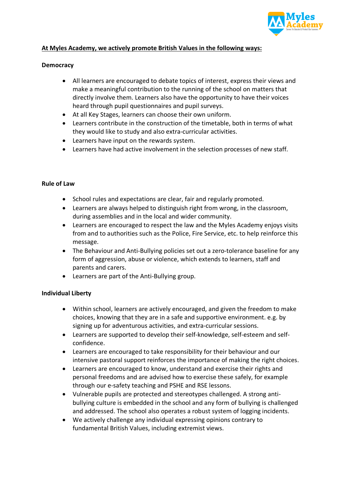

## **At Myles Academy, we actively promote British Values in the following ways:**

#### **Democracy**

- All learners are encouraged to debate topics of interest, express their views and make a meaningful contribution to the running of the school on matters that directly involve them. Learners also have the opportunity to have their voices heard through pupil questionnaires and pupil surveys.
- At all Key Stages, learners can choose their own uniform.
- Learners contribute in the construction of the timetable, both in terms of what they would like to study and also extra-curricular activities.
- Learners have input on the rewards system.
- Learners have had active involvement in the selection processes of new staff.

#### **Rule of Law**

- School rules and expectations are clear, fair and regularly promoted.
- Learners are always helped to distinguish right from wrong, in the classroom, during assemblies and in the local and wider community.
- Learners are encouraged to respect the law and the Myles Academy enjoys visits from and to authorities such as the Police, Fire Service, etc. to help reinforce this message.
- The Behaviour and Anti-Bullying policies set out a zero-tolerance baseline for any form of aggression, abuse or violence, which extends to learners, staff and parents and carers.
- Learners are part of the Anti-Bullying group.

#### **Individual Liberty**

- Within school, learners are actively encouraged, and given the freedom to make choices, knowing that they are in a safe and supportive environment. e.g. by signing up for adventurous activities, and extra-curricular sessions.
- Learners are supported to develop their self-knowledge, self-esteem and selfconfidence.
- Learners are encouraged to take responsibility for their behaviour and our intensive pastoral support reinforces the importance of making the right choices.
- Learners are encouraged to know, understand and exercise their rights and personal freedoms and are advised how to exercise these safely, for example through our e-safety teaching and PSHE and RSE lessons.
- Vulnerable pupils are protected and stereotypes challenged. A strong antibullying culture is embedded in the school and any form of bullying is challenged and addressed. The school also operates a robust system of logging incidents.
- We actively challenge any individual expressing opinions contrary to fundamental British Values, including extremist views.